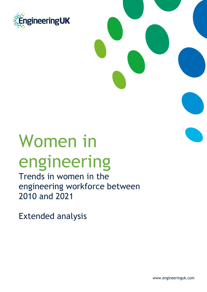

# Women in engineering

Trends in women in the engineering workforce between 2010 and 2021

Extended analysis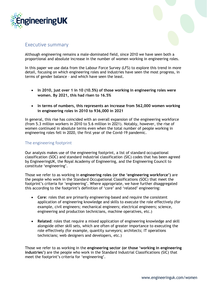



#### Executive summary

Although engineering remains a male-dominated field, since 2010 we have seen both a proportional and absolute increase in the number of women working in engineering roles.

In this paper we use data from the Labour Force Survey (LFS) to explore this trend in more detail, focusing on which engineering roles and industries have seen the most progress, in terms of gender balance – and which have seen the least.

- **In 2010, just over 1 in 10 (10.5%) of those working in engineering roles were women. By 2021, this had risen to 16.5%**
- **In terms of numbers, this represents an increase from 562,000 women working in engineering roles in 2010 to 936,000 in 2021**

In general, this rise has coincided with an overall expansion of the engineering workforce (from 5.3 million workers in 2010 to 5.6 million in 2021). Notably, however, the rise of women continued in absolute terms even when the total number of people working in engineering roles fell in 2020, the first year of the Covid-19 pandemic.

#### The engineering footprint

Our analysis makes use of the engineering footprint, a list of standard occupational classification (SOC) and standard industrial classification (SIC) codes that has been agreed by EngineeringUK, the Royal Academy of Engineering, and the Engineering Council to constitute 'engineering'.

Those we refer to as working in **engineering roles (or the 'engineering workforce')** are the people who work in the Standard Occupational Classifications (SOC) that meet the footprint's criteria for 'engineering'. Where appropriate, we have further disaggregated this according to the footprint's definition of 'core' and 'related' engineering:

- **Core**: roles that are primarily engineering-based and require the consistent application of engineering knowledge and skills to execute the role effectively (for example, civil engineers; mechanical engineers; electrical engineers; science, engineering and production technicians, machine operatives, etc.)
- **Related**: roles that require a mixed application of engineering knowledge and skill alongside other skill sets, which are often of greater importance to executing the role effectively (for example, quantity surveyors; architects; IT operations technicians; web designers and developers, etc.)

Those we refer to as working in the **engineering sector (or those 'working in engineering industries')** are the people who work in the Standard Industrial Classifications (SIC) that meet the footprint's criteria for 'engineering'.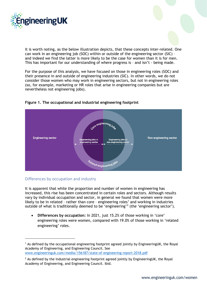

It is worth noting, as the below illustration depicts, that these concepts inter-related. One can work in an engineering job (SOC) within or outside of the engineering sector (SIC) – and indeed we find the latter is more likely to be the case for women than it is for men. This has important for our understanding of where progress is – and isn't - being made.

For the purpose of this analysis, we have focused on those in engineering roles (SOC) and their presence in and outside of engineering industries (SIC). In other words, we do not consider those women who may work in engineering sectors, but not in engineering roles (so, for example, marketing or HR roles that arise in engineering companies but are nevertheless not engineering jobs).



#### **Figure 1. The occupational and industrial engineering footprint**

#### Differences by occupation and industry

It is apparent that while the proportion and number of women in engineering has increased, this rise has been concentrated in certain roles and sectors. Although results vary by individual occupation and sector, in general we found that women were more likely to be in related - rather than core - engineering roles<sup>[1](#page-2-0)</sup> and working in industries outside of what is traditionally deemed to be 'engineering'[2](#page-2-1) (the 'engineering sector').

• **Differences by occupation:** In 2021, just 15.2% of those working in 'core' engineering roles were women, compared with 19.0% of those working in 'related engineering' roles.

[www.engineeringuk.com/media/156187/state-of-engineering-report-2018.pdf](http://www.engineeringuk.com/media/156187/state-of-engineering-report-2018.pdf)

<span id="page-2-0"></span><sup>1</sup> As defined by the occupational engineering footprint agreed jointly by EngineeringUK, the Royal Academy of Engineering, and Engineering Council. See

<span id="page-2-1"></span> $<sup>2</sup>$  As defined by the industrial engineering footprint agreed jointly by EngineeringUK, the Royal</sup> Academy of Engineering, and Engineering Council. Ibid.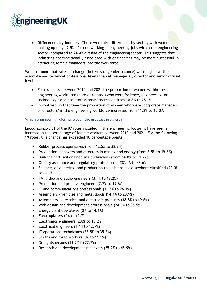

• **Differences by industry:** There were also differences by sector, with women making up only 12.5% of those working in engineering jobs within the engineering sector, compared to 24.4% *outside* of the engineering sector. This suggests that industries not traditionally associated with engineering may be more successful in attracting female engineers into the workforce.

We also found that rates of change (in terms of gender balance) were higher at the associate and technical professional levels than at managerial, director and senior official level.

- For example, between 2010 and 2021 the proportion of women within the engineering workforce (core or related) who were 'science, engineering, or technology associate professionals' increased from 18.8% to 28.1%.
- In contrast, in that time the proportion of women who were 'corporate managers or directors' in the engineering workforce increased from 11.2% to 15.0%.

#### Which engineering roles have seen the greatest progress?

Encouragingly, 61 of the 97 roles included in the engineering footprint have seen an increase in the percentage of female workers between 2010 and 2021. For the following 19 roles, this change has exceeded 10 percentage points:

- Rubber process operatives (from 12.5% to 32.2%)
- Production managers and directors in mining and energy (from 8.5% to 19.6%)
- Building and civil engineering technicians (from 14.8% to 31.7%)
- Quality assurance and regulatory professionals (32.4% to 48.6%)
- Science, engineering, and production technicians not elsewhere classified (20.0% to 44.7%)
- TV, video and audio engineers (3.4% to 18.2%)
- Production and process engineers (7.7% to 19.6%)
- IT and communications professionals (11.5% to 26.1%)
- Assemblers vehicles and metal goods (14.1% to 28.9%)
- Assemblers electrical and electronic products (38.8% to 49.6%)
- Web design and development professionals (24.6% to 35.5%)
- Energy plant operatives (0% to 14.1%)
- Electroplaters (0% to 12.7%)
- Electronics engineers (2.8% to 15.2%)
- Electrical engineers (1.1% to 12.7%)
- IT operations technicians (23.5% to 35.3%)
- Smiths and forge workers (0% to 11.5%)
- Draughtspersons (11.2% to 22.2%)
- Research and development managers (35.2% to 45.9%)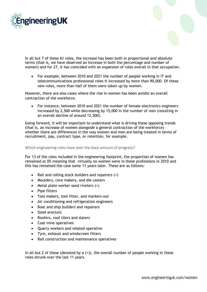



In all but 7 of these 61 roles, the increase has been both in proportional and absolute terms (that is, we have observed an increase in both the percentage and number of women) and for 27, it has coincided with an expansion of roles overall in that occupation.

• For example, between 2010 and 2021 the number of people working in IT and telecommunications professional roles it increased by more than 90,000. Of these new roles, more than half of them were taken up by women.

However, there are also cases where the rise in women has been amidst an overall contraction of the workforce.

• For instance, between 2010 and 2021 the number of female electronics engineers increased by 2,500 while decreasing by 15,000 in the number of men (resulting in an overall decline of around 12,500).

Going forward, it will be important to understand what is driving these opposing trends (that is, an increase of women alongside a general contraction of the workforce) – whether there are differences in the way women and men are being treated in terms of recruitment, pay, contract type, or retention, for example.

#### Which engineering roles have seen the least amount of progress?

For 13 of the roles included in the engineering footprint, the proportion of women has remained at 0% meaning that virtually no women were in these professions in 2010 and this has remained the case some 11 years later. These are as follows:

- Rail and rolling stock builders and repairers (+)
- Moulders, core makers, and die casters
- Metal plate worker sand riveters (+)
- Pipe fitters
- Tool makers, tool fitter, and markers-out
- Air conditioning and refrigeration engineers
- Boat and ship builders and repairers
- Steel erectors
- Roofers, roof tilers and slaters
- Coal mine operatives
- Quarry workers and related operative
- Tyre, exhaust and windscreen fitters
- Rail construction and maintenance operatives

In all but 2 of these (denoted by a  $(+)$ ), the overall number of people working in these roles shrunk over the last 11 years.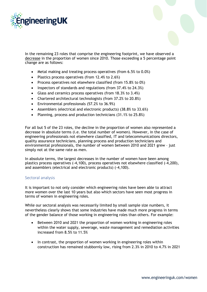

In the remaining 23 roles that comprise the engineering footprint, we have observed a decrease in the proportion of women since 2010. Those exceeding a 5 percentage point change are as follows:

- Metal making and treating process operatives (from 6.5% to 0.0%)
- Plastics process operatives (from 12.4% to 2.6%)
- Process operatives not elsewhere classified (from 15.8% to 0%)
- Inspectors of standards and regulations (from 37.4% to 24.3%)
- Glass and ceramics process operatives (from 18.3% to 3.4%)
- Chartered architectural technologists (from 37.2% to 20.8%)
- Environmental professionals (57.2% to 36.9%)
- Assemblers (electrical and electronic products) (38.8% to 33.6%)
- Planning, process and production technicians (31.1% to 25.8%)

For all but 5 of the 23 roles, the decline in the proportion of women also represented a decrease in absolute terms (i.e. the total number of women). However, in the case of engineering professionals not elsewhere classified, IT and telecommunications directors, quality assurance technicians, planning process and production technicians and environmental professionals, the number of women between 2010 and 2021 grew – just simply not at the same rate as men.

In absolute terms, the largest decreases in the number of women have been among plastics process operatives (-4,100), process operatives not elsewhere classified (-4,200), and assemblers (electrical and electronic products) (-4,100).

#### Sectoral analysis

It is important to not only consider which engineering roles have been able to attract more women over the last 10 years but also which sectors have seen most progress in terms of women in engineering roles.

While our sectoral analysis was necessarily limited by small sample size numbers, it nevertheless clearly shows that some industries have made much more progress in terms of the gender balance of those working in engineering roles than others. For example:

- Between 2010 and 2021 the proportion of women working in engineering roles within the water supply, sewerage, waste management and remediation activities increased from 8.5% to 11.5%
- In contrast, the proportion of women working in engineering roles within construction has remained stubbornly low, rising from 2.3% in 2010 to 4.7% in 2021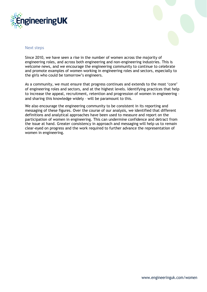



#### Next steps

Since 2010, we have seen a rise in the number of women across the majority of engineering roles, and across both engineering and non-engineering industries. This is welcome news, and we encourage the engineering community to continue to celebrate and promote examples of women working in engineering roles and sectors, especially to the girls who could be tomorrow's engineers.

As a community, we must ensure that progress continues and extends to the most 'core' of engineering roles and sectors, and at the highest levels. Identifying practices that help to increase the appeal, recruitment, retention and progression of women in engineering – and sharing this knowledge widely – will be paramount to this.

We also encourage the engineering community to be consistent in its reporting and messaging of these figures. Over the course of our analysis, we identified that different definitions and analytical approaches have been used to measure and report on the participation of women in engineering. This can undermine confidence and detract from the issue at hand. Greater consistency in approach and messaging will help us to remain clear-eyed on progress and the work required to further advance the representation of women in engineering.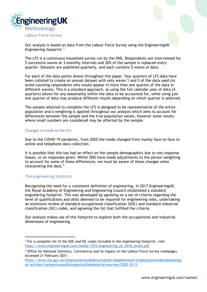

Our analysis is based on data from the Labour Force Survey using the EngineeringUK Engineering footprint.<sup>[3](#page-7-0)</sup>

The LFS is a continuous household survey run by the ONS. Respondents are interviewed for 5 successive waves at 3-monthly intervals and 20% of the sample is replaced every quarter. Datasets are published quarterly, and each contains 5 waves of data.

For each of the data points shown throughout this paper, four quarters of LFS data have been collated to create an annual dataset with only waves 1 and 5 of the data used (to avoid counting respondents who would appear in more than one quarter of the data in different waves). This is a standard approach, as using the full calendar year of data (4 quarters) allows for any seasonality within the data to be accounted for, while using just one quarter of data may produce different results depending on which quarter is selected.

The sample selected to complete the LFS is designed to be representative of the entire population and a weighting is applied throughout our analysis which aims to account for differences between the sample and the true population values, however some results where small numbers are considered may be affected by the sample.

#### Changes in mode to the LFS

Due to the COVID-19 pandemic, from 2020 the mode changed from mainly face-to-face to online and telephone data collection.

It is possible that this has had an effect on the sample demographics due to non-response biases, or on responses given. Whilst ONS have made adjustments to the person weighting to account for some of these differences, we must be aware of these changes when interpreting the data. [4](#page-7-1)

#### The engineering footprint

Recognising the need for a consistent definition of engineering, in 2017 EngineeringUK, the Royal Academy of Engineering and Engineering Council established a standard engineering footprint. This was developed by agreeing on a set of criteria regarding the level of qualifications and skills deemed to be required for engineering roles, undertaking an extensive review of standard occupational classification (SOC) and standard industrial classification (SIC) codes, and agreeing the list that fulfilled the criteria.

Our analysis makes use of this footprint to explore both the occupational and industrial dimensions of engineering.

<span id="page-7-0"></span><sup>&</sup>lt;sup>3</sup> For a complete list of the SOC and SIC codes included in the engineering footprint, visit: [https://www.engineeringuk.com/media/1572/engineering\\_uk\\_2018\\_annex.pdf](https://www.engineeringuk.com/media/1572/engineering_uk_2018_annex.pdf)

<span id="page-7-1"></span><sup>4</sup> Office for National Statistics. Coronavirus and its impact on the Labour Force Survey (webpage). Accessed 21 February 2021.

[https://www.ons.gov.uk/employmentandlabourmarket/peopleinwork/employmentandemployeetyp](https://www.ons.gov.uk/employmentandlabourmarket/peopleinwork/employmentandemployeetypes/articles/coronavirusanditsimpactonthelabourforcesurvey/2020-10-13) [es/articles/coronavirusanditsimpactonthelabourforcesurvey/2020-10-13](https://www.ons.gov.uk/employmentandlabourmarket/peopleinwork/employmentandemployeetypes/articles/coronavirusanditsimpactonthelabourforcesurvey/2020-10-13)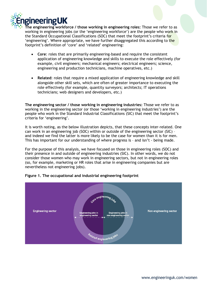

**The engineering workforce / those working in engineering roles:** Those we refer to as working in engineering jobs (or the 'engineering workforce') are the people who work in the Standard Occupational Classifications (SOC) that meet the footprint's criteria for 'engineering'. Where appropriate, we have further disaggregated this according to the footprint's definition of 'core' and 'related' engineering:

- **Core**: roles that are primarily engineering-based and require the consistent application of engineering knowledge and skills to execute the role effectively (for example, civil engineers; mechanical engineers; electrical engineers; science, engineering and production technicians, machine operatives, etc.)
- **Related**: roles that require a mixed application of engineering knowledge and skill alongside other skill sets, which are often of greater importance to executing the role effectively (for example, quantity surveyors; architects; IT operations technicians; web designers and developers, etc.)

**The engineering sector / those working in engineering industries:** Those we refer to as working in the engineering sector (or those 'working in engineering industries') are the people who work in the Standard Industrial Classifications (SIC) that meet the footprint's criteria for 'engineering'.

It is worth noting, as the below illustration depicts, that these concepts inter-related. One can work in an engineering job (SOC) within or outside of the engineering sector (SIC) – and indeed we find the latter is more likely to be the case for women than it is for men. This has important for our understanding of where progress is – and isn't - being made.

For the purpose of this analysis, we have focused on those in engineering roles (SOC) and their presence in and outside of engineering industries (SIC). In other words, we do not consider those women who may work in engineering sectors, but not in engineering roles (so, for example, marketing or HR roles that arise in engineering companies but are nevertheless not engineering jobs).



#### **Figure 1. The occupational and industrial engineering footprint**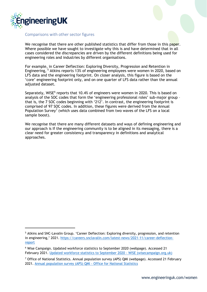

#### Comparisons with other sector figures

We recognise that there are other published statistics that differ from those in this paper. Where possible we have sought to investigate why this is and have determined that in all cases considered the discrepancies are driven by the different definitions being used for engineering roles and industries by different organisations.

For example, in Career Deflection: Exploring Diversity, Progression and Retention in Engineering, [5](#page-9-0) Atkins reports 13% of engineering employees were women in 2020, based on LFS data and the engineering footprint. On closer analysis, this figure is based on the 'core' engineering footprint only, and on one quarter of LFS data rather than the annual adjusted dataset.

Separately, WISE<sup>[6](#page-9-1)</sup> reports that 10.4% of engineers were women in 2020. This is based on analysis of the SOC codes that form the 'engineering professional roles' sub-major group – that is, the 7 SOC codes beginning with '212'. In contrast, the engineering footprint is comprised of 97 SOC codes. In addition, these figures were derived from the Annual Population Survey<sup>[7](#page-9-2)</sup> (which uses data combined from two waves of the LFS on a local sample boost).

We recognise that there are many different datasets and ways of defining engineering and our approach is If the engineering community is to be aligned in its messaging, there is a clear need for greater consistency and transparency in definitions and analytical approaches.

<span id="page-9-0"></span><sup>5</sup> Atkins and SNC-Lavalin Group. 'Career Deflection: Exploring diversity, progression, and retention in engineering,' 2021. [https://careers.snclavalin.com/latest-news/2021-11/career-deflection](https://careers.snclavalin.com/latest-news/2021-11/career-deflection-report)[report](https://careers.snclavalin.com/latest-news/2021-11/career-deflection-report)

<span id="page-9-1"></span><sup>6</sup> Wise Campaign. Updated workforce statistics to September 2020 (webpage). Accessed 21 February 2021. [Updated workforce statistics to September 2020 -](https://www.wisecampaign.org.uk/statistics/updated-workforce-statistics-to-september-2020/) WISE (wisecampaign.org.uk)

<span id="page-9-2"></span> $7$  Office of National Statistics. Annual population survey (APS) QMI (webpage). Accessed 21 February 2021. [Annual population survey \(APS\) QMI -](https://www.ons.gov.uk/employmentandlabourmarket/peopleinwork/employmentandemployeetypes/methodologies/annualpopulationsurveyapsqmi) Office for National Statistics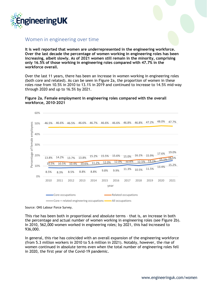

### Women in engineering over time

**It is well reported that women are underrepresented in the engineering workforce. Over the last decade the percentage of women working in engineering roles has been increasing, albeit slowly. As of 2021 women still remain in the minority, comprising only 16.5% of those working in engineering roles compared with 47.7% in the workforce overall.** 

Over the last 11 years, there has been an increase in women working in engineering roles (both core and related). As can be seen in Figure 2a, the proportion of women in these roles rose from 10.5% in 2010 to 13.1% in 2019 and continued to increase to 14.5% mid-way through 2020 and up to 16.5% by 2021.





Source: ONS Labour Force Survey.

This rise has been both in proportional and absolute terms – that is, an increase in both the percentage and actual number of women working in engineering roles (see Figure 2b). In 2010, 562,000 women worked in engineering roles; by 2021, this had increased to 936,000.

In general, this rise has coincided with an overall expansion of the engineering workforce (from 5.3 million workers in 2010 to 5.6 million in 2021). Notably, however, the rise of women continued in absolute terms even when the total number of engineering roles fell in 2020, the first year of the Covid-19 pandemic.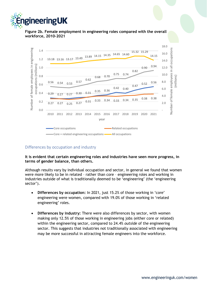

**Figure 2b. Female employment in engineering roles compared with the overall workforce, 2010-2021** 



#### Differences by occupation and industry

**It is evident that certain engineering roles and industries have seen more progress, in terms of gender balance, than others.**

Although results vary by individual occupation and sector, in general we found that women were more likely to be in related – rather than core – engineering roles and working in industries outside of what is traditionally deemed to be 'engineering' (the 'engineering sector').

- **Differences by occupation:** In 2021, just 15.2% of those working in 'core' engineering were women, compared with 19.0% of those working in 'related engineering' roles.
- **Differences by industry:** There were also differences by sector, with women making only 12.5% of those working in engineering jobs (either core or related) within the engineering sector, compared to 24.4% *outside* of the engineering sector. This suggests that industries not traditionally associated with engineering may be more successful in attracting female engineers into the workforce.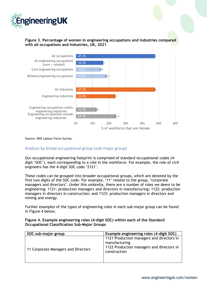

#### **Figure 3. Percentage of women in engineering occupations and industries compared with all occupations and industries, UK, 2021**



Source: ONS Labour Force Survey.

#### Analysis by broad occupational group (sub-major group)

Our occupational engineering footprint is comprised of standard occupational codes (4 digit 'SOC'), each corresponding to a role in the workforce. For example, the role of civil engineers has the 4-digit SOC code '2121'.

These codes can be grouped into broader occupational groups, which are denoted by the first two digits of the SOC code. For example, '11' relates to the group, 'corporate managers and directors'. Under this umbrella, there are a number of roles we deem to be engineering: 1121: production managers and directors in manufacturing; 1122: production managers in directors in construction; and 1123: production managers in directors and mining and energy.

Further examples of the types of engineering roles in each sub-major group can be found in Figure 4 below.

| SOC sub-major group                 | Example engineering roles (4-digit SOC)                                                                                 |
|-------------------------------------|-------------------------------------------------------------------------------------------------------------------------|
| 11 Corporate Managers and Directors | 1121 Production managers and directors in<br>manufacturing<br>1122 Production managers and directors in<br>construction |

#### **Figure 4. Example engineering roles (4-digit SOC) within each of the Standard Occupational Classification Sub-Major Groups**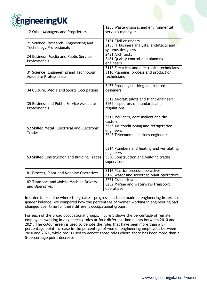

| 12 Other Managers and Proprietors                                        | 1255 Waste disposal and environmental<br>services managers                                                                                 |
|--------------------------------------------------------------------------|--------------------------------------------------------------------------------------------------------------------------------------------|
| 21 Science, Research, Engineering and<br><b>Technology Professionals</b> | 2121 Civil engineers<br>2135 IT business analysts, architects and<br>systems designers                                                     |
| 24 Business, Media and Public Service<br>Professionals                   | 2431 Architects<br>2461 Quality control and planning<br>engineers                                                                          |
| 31 Science, Engineering and Technology<br><b>Associate Professionals</b> | 3112 Electrical and electronics technicians<br>3116 Planning, process and production<br>technicians                                        |
| 34 Culture, Media and Sports Occupations                                 | 3422 Product, clothing and related<br>designers                                                                                            |
| 35 Business and Public Service Associate<br>Professionals                | 3512 Aircraft pilots and flight engineers<br>3565 Inspectors of standards and<br>regulations                                               |
| 52 Skilled Metal, Electrical and Electronic<br><b>Trades</b>             | 5212 Moulders, core makers and die<br>casters<br>5225 Air-conditioning and refrigeration<br>engineers<br>5242 Telecommunications engineers |
| 53 Skilled Construction and Building Trades                              | 5314 Plumbers and heating and ventilating<br>engineers<br>5330 Construction and building trades<br>supervisors                             |
| 81 Process, Plant and Machine Operatives                                 | 8116 Plastics process operatives<br>8126 Water and sewerage plant operatives                                                               |
| 82 Transport and Mobile Machine Drivers<br>and Operatives                | 8221 Crane drivers<br>8232 Marine and waterways transport<br>operatives                                                                    |

In order to examine where the greatest progress has been made in engineering in terms of gender balance, we compared how the percentage of women working in engineering had changed over time for these different occupational groups.

For each of the broad occupational groups, Figure 5 shows the percentage of female employees working in engineering roles at four different time points between 2010 and 2021. The colour green is used to denote the roles that have seen more than a 5 percentage point increase in the percentage of women engineering employees between 2010 and 2021, while red is used to denote those roles where there has been more than a 5-percentage point decrease.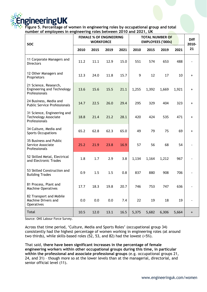

**Figure 5. Percentage of women in engineering roles by occupational group and total number of employees in engineering roles between 2010 and 2021, UK**

| <b>SOC</b>                                                                  |      | <b>WORKFORCE</b> | <b>FEMALE % OF ENGINEERING</b> |      | <b>TOTAL NUMBER OF</b><br><b>EMPLOYEES ('000s)</b> | <b>Diff</b><br>2010- |       |       |                                  |
|-----------------------------------------------------------------------------|------|------------------|--------------------------------|------|----------------------------------------------------|----------------------|-------|-------|----------------------------------|
|                                                                             | 2010 | 2015             | 2019                           | 2021 | 2010                                               | 2015                 | 2019  | 2021  | 21                               |
| 11 Corporate Managers and<br><b>Directors</b>                               | 11.2 | 11.1             | 12.9                           | 15.0 | 551                                                | 574                  | 653   | 488   |                                  |
| 12 Other Managers and<br>Proprietors                                        | 12.3 | 24.0             | 11.8                           | 15.7 | 9                                                  | 12                   | 17    | 10    | $\ddot{}$                        |
| 21 Science, Research,<br><b>Engineering and Technology</b><br>Professionals | 13.6 | 15.6             | 15.5                           | 21.1 | 1,255                                              | 1,392                | 1,669 | 1,921 | $\begin{array}{c} + \end{array}$ |
| 24 Business, Media and<br><b>Public Service Professionals</b>               | 14.7 | 22.5             | 26.0                           | 29.4 | 295                                                | 329                  | 404   | 323   | $\ddot{}$                        |
| 31 Science, Engineering and<br><b>Technology Associate</b><br>Professionals | 18.8 | 21.4             | 21.2                           | 28.1 | 420                                                | 424                  | 535   | 471   | $\ddot{}$                        |
| 34 Culture, Media and<br><b>Sports Occupations</b>                          | 65.2 | 62.8             | 62.3                           | 65.0 | 49                                                 | 79                   | 75    | 69    | $\begin{array}{c} + \end{array}$ |
| 35 Business and Public<br>Service Associate<br>Professionals                | 25.2 | 21.9             | 23.8                           | 16.9 | 57                                                 | 56                   | 68    | 54    |                                  |
| 52 Skilled Metal, Electrical<br>and Electronic Trades                       | 1.8  | 1.7              | 2.9                            | 3.8  | 1,134                                              | 1,164                | 1,212 | 967   |                                  |
| 53 Skilled Construction and<br><b>Building Trades</b>                       | 0.9  | 1.5              | 1.5                            | 0.8  | 837                                                | 880                  | 908   | 706   |                                  |
| 81 Process, Plant and<br><b>Machine Operatives</b>                          | 17.7 | 18.3             | 19.8                           | 20.7 | 746                                                | 753                  | 747   | 636   |                                  |
| 82 Transport and Mobile<br>Machine Drivers and<br><b>Operatives</b>         | 0.0  | $0.0\,$          | 0.0                            | 7.4  | 22                                                 | 19                   | 18    | 19    |                                  |
| Total                                                                       | 10.5 | 12.0             | 13.1                           | 16.5 | 5,375                                              | 5,682                | 6,306 | 5,664 | $\boldsymbol{+}$                 |

Source: ONS Labour Force Survey.

Across that time period, 'Culture, Media and Sports Roles' (occupational group 34) consistently had the highest percentage of women working in engineering roles (at around two thirds), while skills-based roles (52, 53, and 82) had the lowest (<5%).

That said, **there have been significant increases in the percentage of female engineering workers within other occupational groups during this time, in particular within the professional and associate professional groups** (e.g. occupational groups 21, 24, and 31) – though more so at the lower levels than at the managerial, directorial, and senior official level (11).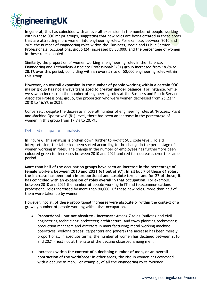

In general, this has coincided with an overall expansion in the number of people working within these SOC major groups, suggesting that new roles are being created in these areas that are attracting more women into engineering roles. For example, between 2010 and 2021 the number of engineering roles within the 'Business, Media and Public Service Professionals' occupational group (24) increased by 30,000, and the percentage of women in these roles doubled.

Similarly, the proportion of women working in engineering roles in the 'Science, Engineering and Technology Associate Professionals' (31) group increased from 18.8% to 28.1% over this period, coinciding with an overall rise of 50,000 engineering roles within this group.

**However, an overall expansion in the number of people working within a certain SOC major group has not always translated to greater gender balance.** For instance, while we saw an increase in the number of engineering roles at the Business and Public Service Associate Professional group, the proportion who were women decreased from 25.2% in 2010 to 16.9% in 2021.

Conversely, despite the decrease in overall number of engineering roles at 'Process, Plant and Machine Operatives' (81) level, there has been an increase in the percentage of women in this group from 17.7% to 20.7%.

#### Detailed occupational analysis

In Figure 6, this analysis is broken down further to 4-digit SOC code level. To aid interpretation, the table has been sorted according to the change in the percentage of women working in roles. The change in the number of employees has furthermore been coloured green for increases between 2010 and 2021 and red for decreases over the same period.

**More than half of the occupation groups have seen an increase in the percentage of female workers between 2010 and 2021 (61 out of 97). In all but 7 of these 61 roles, the increase has been both in proportional and absolute terms – and for 27 of these, it has coincided with an expansion of roles overall in that occupation.** For example, between 2010 and 2021 the number of people working in IT and telecommunications professional roles increased by more than 90,000. Of these new roles, more than half of them were taken up by women.

However, not all of these proportional increases were absolute or within the context of a growing number of people working within that occupation.

- **Proportional – but not absolute - increases:** Among 7 roles (building and civil engineering technicians; architects; architectural and town planning technicians; production managers and directors in manufacturing; metal working machine operatives; welding trades; carpenters and joiners) the increase has been merely proportional. In absolute terms, the number of women has declined between 2010 and 2021 – just not at the rate of the decline observed among men.
- **Increases within the context of a declining number of men, or an overall contraction of the workforce:** In other areas, the rise in women has coincided with a decline in men. For example, of all the engineering roles 'Science,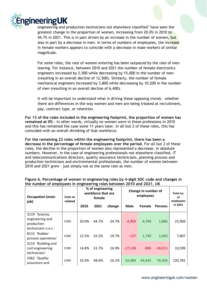

engineering and production technicians not elsewhere classified' have seen the greatest change in the proportion of women, increasing from 20.0% in 2010 to 44.7% in 2021. This is in part driven by an increase in the number of women, but also in part by a decrease in men. In terms of numbers of employees, the increase in female workers appears to coincide with a decrease in male workers of similar magnitude.

For some roles, the rate of women entering has been outpaced by the rate of men leaving. For instance, between 2010 and 2021 the number of female electronics engineers increased by 2,500 while decreasing by 15,000 in the number of men (resulting in an overall decline of 12,500). Similarly, the number of female mechanical engineers increased by 3,800 while decreasing by 10,200 in the number of men (resulting in an overall decline of 6,400).

It will be important to understand what is driving these opposing trends – whether there are differences in the way women and men are being treated at recruitment, pay, contract type, or retention.

**For 13 of the roles included in the engineering footprint, the proportion of women has remained at 0% –** in other words, virtually no women were in these professions in 2010 and this has remained the case some 11 years later. In all but 2 of these roles, this has coincided with an overall shrinking of that workforce.

**For the remaining 23 roles within the engineering footprint, there has been a decrease in the percentage of female employees over the period.** For all but 2 of these roles, the decline in the proportion of women also represented a decrease, in absolute numbers. However, in the case of engineering professionals not elsewhere classified, IT and telecommunications directors, quality assurance technicians, planning process and production technicians and environmental professionals, the number of women between 2010 and 2021 grew – just simply not at the same rate as men.

| <b>Occupation (main</b><br>job)                                        | Core or<br>related | % of engineering<br>workforce that are<br>female |       |        | Change in number of<br>employees | Total no.<br>οf<br>employees |                |         |
|------------------------------------------------------------------------|--------------------|--------------------------------------------------|-------|--------|----------------------------------|------------------------------|----------------|---------|
|                                                                        |                    | 2010                                             | 2021  | change | <b>Male</b>                      | Female                       | <b>Persons</b> | in 2021 |
| 3119 'Science,<br>engineering and<br>production<br>technicians n.e.c.' | <b>CORE</b>        | 20.0%                                            | 44.7% | 24.7%  | $-4,909$                         | 6,794                        | 1,886          | 25,969  |
| 8115 'Rubber<br>process operatives'                                    | <b>CORE</b>        | 12.5%                                            | 32.2% | 19.7%  | $-137$                           | 1,740                        | 1,603          | 7,807   |
| 3114 'Building and<br>civil engineering<br>technicians'                | <b>CORE</b>        | 14.8%                                            | 31.7% | 16.9%  | $-17,128$                        | $-883$                       | $-18,011$      | 10,599  |
| 2462 'Quality<br>assurance and                                         | CORE               | 32.4%                                            | 48.6% | 16.1%  | 32.484                           | 44,442                       | 76.926         | 120.781 |

#### **Figure 6. Percentage of women in engineering roles by 4-digit SOC code and changes in the number of employees in engineering roles between 2010 and 2021, UK**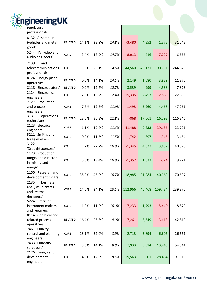|  | <b>EngineeringUK</b> |  |
|--|----------------------|--|
|  | regulatory           |  |

| regulatory                                                          |                |       |       |       |           |        |           |         |
|---------------------------------------------------------------------|----------------|-------|-------|-------|-----------|--------|-----------|---------|
| professionals'<br>8132 'Assemblers                                  |                |       |       |       |           |        |           |         |
| (vehicles and metal<br>goods)'                                      | RELATED        | 14.1% | 28.9% | 14.8% | $-3,480$  | 4,852  | 1,372     | 31,543  |
| 5244 'TV, video and<br>audio engineers'                             | CORE           | 3.4%  | 18.2% | 14.7% | $-8,013$  | 716    | $-7,297$  | 6,556   |
| 2139 'IT and<br>telecommunications<br>professionals'                | CORE           | 11.5% | 26.1% | 14.6% | 44,560    | 46,171 | 90,731    | 244,825 |
| 8124 'Energy plant<br>operatives'                                   | RELATED        | 0.0%  | 14.1% | 14.1% | 2,149     | 1,680  | 3,829     | 11,875  |
| 8118 'Electroplaters'                                               | RELATED        | 0.0%  | 12.7% | 12.7% | 3,539     | 999    | 4,538     | 7,873   |
| 2124 'Electronics<br>engineers'                                     | CORE           | 2.8%  | 15.2% | 12.4% | $-15,335$ | 2,453  | $-12,883$ | 22,630  |
| 2127 'Production                                                    |                |       |       |       |           |        |           |         |
| and process<br>engineers'                                           | CORE           | 7.7%  | 19.6% | 11.9% | $-1,493$  | 5,960  | 4,468     | 47,261  |
| 3131 'IT operations<br>technicians'                                 | <b>RELATED</b> | 23.5% | 35.3% | 11.8% | $-868$    | 17,661 | 16,793    | 116,346 |
| 2123 'Electrical<br>engineers'                                      | CORE           | 1.1%  | 12.7% | 11.6% | $-41,488$ | 2,333  | $-39,156$ | 23,791  |
| 5211 'Smiths and<br>forge workers'                                  | CORE           | 0.0%  | 11.5% | 11.5% | $-1,742$  | 397    | $-1,345$  | 3,464   |
| 3122<br>'Draughtspersons'                                           | CORE           | 11.2% | 22.2% | 10.9% | $-1,345$  | 4,827  | 3,482     | 40,570  |
| 1123 'Production<br>mngrs and directors<br>in mining and<br>energy' | CORE           | 8.5%  | 19.4% | 10.9% | $-1,357$  | 1,033  | $-324$    | 9,721   |
| 2150 'Research and<br>development mngrs'                            | CORE           | 35.2% | 45.9% | 10.7% | 18,985    | 21,984 | 40,969    | 70,697  |
| 2135 'IT business<br>analysts, archtcts<br>and systms<br>designers' | CORE           | 14.0% | 24.1% | 10.1% | 112,966   | 46,468 | 159,434   | 239,875 |
| 5224 'Precision<br>instrument makers<br>and repairers'              | CORE           | 1.9%  | 11.9% | 10.0% | $-7,233$  | 1,793  | $-5,440$  | 18,879  |
| 8114 'Chemical and<br>related process<br>operatives'                | RELATED        | 16.4% | 26.3% | 9.9%  | $-7,261$  | 3,649  | $-3,613$  | 42,819  |
| 2461 'Quality<br>control and planning<br>engineers'                 | CORE           | 23.1% | 32.0% | 8.9%  | 2,713     | 3,894  | 6,606     | 26,551  |
| 2433 'Quantity<br>surveyors'                                        | RELATED        | 5.3%  | 14.1% | 8.8%  | 7,933     | 5,514  | 13,448    | 54,541  |
| 2126 'Design and<br>development<br>engineers'                       | CORE           | 4.0%  | 12.5% | 8.5%  | 19,563    | 8,901  | 28,464    | 91,513  |

 $\overline{\phantom{a}}$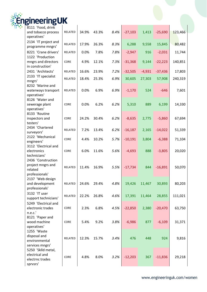

| 2""CH""              |                |       |       |      |           |          |           |         |
|----------------------|----------------|-------|-------|------|-----------|----------|-----------|---------|
| 8111 'Food, drink    |                |       |       |      |           |          |           |         |
| and tobacco process  | <b>RELATED</b> | 34.9% | 43.3% | 8.4% | $-27,103$ | 1,413    | $-25,690$ | 123,466 |
| operatives'          |                |       |       |      |           |          |           |         |
| 2134 'IT project and | RELATED        | 17.9% | 26.3% | 8.3% | 6,288     | 9,558    | 15,845    | 80,482  |
| programme mngrs'     |                |       |       |      |           |          |           |         |
| 8221 'Crane drivers' | RELATED        | 0.0%  | 7.8%  | 7.8% | $-2,947$  | 916      | $-2,031$  | 11,744  |
| 1122 'Production     |                |       |       |      |           |          |           |         |
| mngrs and directors  | CORE           | 4.9%  | 12.1% | 7.3% | $-31,368$ | 9,144    | $-22,223$ | 140,851 |
| in construction'     |                |       |       |      |           |          |           |         |
| 2431 'Architects'    | RELATED        | 16.6% | 23.9% | 7.2% | $-32,505$ | $-4,931$ | $-37,436$ | 17,803  |
| 2133 'IT specialist  |                |       |       |      |           |          |           |         |
| mngrs'               | RELATED        | 18.4% | 25.3% | 6.9% | 30,605    | 27,303   | 57,908    | 240,319 |
| 8232 'Marine and     |                |       |       |      |           |          |           |         |
| waterways transport  | RELATED        | 0.0%  | 6.9%  | 6.9% | $-1,170$  | 524      | $-646$    | 7,601   |
| operatives'          |                |       |       |      |           |          |           |         |
| 8126 'Water and      |                |       |       |      |           |          |           |         |
| sewerage plant       | CORE           | 0.0%  | 6.2%  | 6.2% | 5,310     | 889      | 6,199     | 14,330  |
| operatives'          |                |       |       |      |           |          |           |         |
| 8133 'Routine        |                |       |       |      |           |          |           |         |
| inspectors and       | CORE           | 24.2% | 30.4% | 6.2% | $-8,635$  | 2,775    | $-5,860$  | 67,694  |
| testers'             |                |       |       |      |           |          |           |         |
| 2434 'Chartered      |                |       |       |      |           |          |           |         |
| surveyors'           | RELATED        | 7.2%  | 13.4% | 6.2% | $-16,187$ | 2,165    | $-14,022$ | 51,339  |
| 2122 'Mechanical     |                |       |       |      |           |          |           |         |
| engineers'           | CORE           | 4.4%  | 10.2% | 5.7% | $-10,191$ | 3,804    | $-6,388$  | 71,104  |
| 3112 'Electrical and |                |       |       |      |           |          |           |         |
| electronics          | CORE           | 6.0%  | 11.6% | 5.6% | $-4,693$  | 888      | $-3,805$  | 20,020  |
| technicians'         |                |       |       |      |           |          |           |         |
| 2436 'Construction   |                |       |       |      |           |          |           |         |
| project mngrs and    |                |       |       |      |           |          |           |         |
| related              | RELATED        | 11.4% | 16.9% | 5.5% | $-17,734$ | 844      | $-16,891$ | 50,070  |
| professionals'       |                |       |       |      |           |          |           |         |
| 2137 'Web design     |                |       |       |      |           |          |           |         |
| and development      | RELATED        | 24.6% | 29.4% | 4.8% | 19,426    | 11,467   | 30,893    | 80,203  |
| professionals'       |                |       |       |      |           |          |           |         |
| 3132 'IT user        |                |       |       |      |           |          |           |         |
| support technicians' | RELATED        | 22.2% | 26.8% | 4.6% | 17,391    | 11,464   | 28,855    | 111,021 |
| 5249 'Electrical and |                |       |       |      |           |          |           |         |
| electronic trades    | <b>CORE</b>    | 2.3%  | 6.8%  | 4.5% | $-22,850$ | 2,380    | $-20,470$ | 63,750  |
| n.e.c.'              |                |       |       |      |           |          |           |         |
| 8121 'Paper and      |                |       |       |      |           |          |           |         |
| wood machine         | CORE           | 5.4%  | 9.2%  | 3.8% | $-6,986$  | 877      | $-6,109$  | 31,371  |
| operatives'          |                |       |       |      |           |          |           |         |
| 1255 'Waste          |                |       |       |      |           |          |           |         |
| disposal and         |                |       |       |      |           |          |           |         |
|                      | RELATED        | 12.3% | 15.7% | 3.4% | 476       | 448      | 924       | 9,816   |
| environmental        |                |       |       |      |           |          |           |         |
| services mngrs'      |                |       |       |      |           |          |           |         |
| 5250 'Sklld metal,   |                |       |       |      |           |          |           |         |
| electrical and       | CORE           | 4.8%  | 8.0%  | 3.2% | $-12,203$ | 367      | $-11,836$ | 29,218  |
| electrnc trades      |                |       |       |      |           |          |           |         |
| sprvsrs'             |                |       |       |      |           |          |           |         |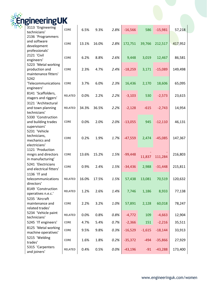

| gineering                                                          | UΚ          |       |       |      |           |          |           |         |
|--------------------------------------------------------------------|-------------|-------|-------|------|-----------|----------|-----------|---------|
| 3113 'Engineering<br>technicians'                                  | CORE        | 6.5%  | 9.3%  | 2.8% | $-16,566$ | 586      | $-15,981$ | 57,218  |
| 2136 'Programmers<br>and software<br>development<br>professionals' | CORE        | 13.1% | 16.0% | 2.8% | 172,751   | 39,766   | 212,517   | 417,952 |
| 2121 'Civil<br>engineers'                                          | CORE        | 6.2%  | 8.8%  | 2.6% | 9,448     | 3,019    | 12,467    | 86,581  |
| 5223 'Metal working<br>production and<br>maintenance fitters'      | <b>CORE</b> | 2.3%  | 4.7%  | 2.4% | $-18,259$ | 3,171    | $-15,089$ | 149,498 |
| 5242<br>'Telecommunications<br>engineers'                          | CORE        | 3.7%  | 6.0%  | 2.3% | 16,436    | 2,170    | 18,606    | 65,095  |
| 8141 'Scaffolders,<br>stagers and riggers'                         | RELATED     | 0.0%  | 2.2%  | 2.2% | $-3,103$  | 530      | $-2,573$  | 23,615  |
| 3121 'Architectural<br>and town planning<br>technicians'           | RELATED     | 34.3% | 36.5% | 2.2% | $-2,128$  | $-615$   | $-2,743$  | 14,954  |
| 5330 'Construction<br>and building trades<br>supervisors'          | CORE        | 0.0%  | 2.0%  | 2.0% | $-13,055$ | 945      | $-12,110$ | 46,131  |
| 5231 'Vehicle<br>technicians,<br>mechanics and<br>electricians'    | <b>CORE</b> | 0.2%  | 1.9%  | 1.7% | $-47,559$ | 2,474    | $-45,085$ | 147,367 |
| 1121 'Production<br>mngrs and directors<br>in manufacturing'       | CORE        | 13.6% | 15.2% | 1.5% | $-99,448$ | 11,837   | 111,284   | 216,803 |
| 5241 'Electricians<br>and electrical fitters'<br>1136 'IT and      | CORE        | 0.9%  | 2.4%  | 1.5% | $-34,436$ | 2,988    | $-31,448$ | 215,811 |
| telecommunications<br>directors'                                   | RELATED     | 16.0% | 17.5% | 1.5% | 57,438    | 13,081   | 70,519    | 120,632 |
| 8149 'Construction<br>operatives n.e.c.'                           | RELATED     | 1.2%  | 2.6%  | 1.4% | 7,746     | 1,186    | 8,933     | 77,138  |
| 5235 'Aircraft<br>maintenance and<br>related trades'               | CORE        | 2.2%  | 3.2%  | 1.0% | 57,891    | 2,128    | 60,018    | 78,247  |
| 5234 'Vehicle paint<br>technicians'                                | RELATED     | 0.0%  | 0.8%  | 0.8% | $-4,772$  | 109      | $-4,663$  | 12,904  |
| 5245 'IT engineers'                                                | CORE        | 4.7%  | 5.4%  | 0.7% | $-2,366$  | 151      | $-2,216$  | 35,511  |
| 8125 'Metal working<br>machine operatives'                         | CORE        | 9.5%  | 9.8%  | 0.3% | $-16,529$ | $-1,615$ | $-18,144$ | 33,913  |
| 5215 'Welding<br>trades'                                           | CORE        | 1.6%  | 1.8%  | 0.2% | $-35,372$ | $-494$   | $-35,866$ | 27,929  |
| 5315 'Carpenters<br>and joiners'                                   | RELATED     | 0.4%  | 0.5%  | 0.0% | $-43,196$ | $-91$    | $-43,288$ | 173,400 |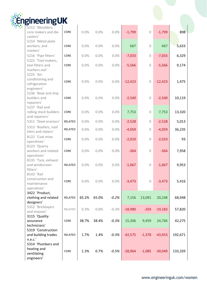| EngineeringUK |
|---------------|

|           | 898                                                                                                                                    |
|-----------|----------------------------------------------------------------------------------------------------------------------------------------|
|           |                                                                                                                                        |
|           |                                                                                                                                        |
|           | 5,633                                                                                                                                  |
|           |                                                                                                                                        |
|           | 6,329                                                                                                                                  |
|           |                                                                                                                                        |
|           | 9,174                                                                                                                                  |
|           |                                                                                                                                        |
|           |                                                                                                                                        |
|           |                                                                                                                                        |
|           | 1,475                                                                                                                                  |
|           |                                                                                                                                        |
|           |                                                                                                                                        |
| $-2,540$  | 10,119                                                                                                                                 |
|           |                                                                                                                                        |
|           |                                                                                                                                        |
| 7,753     | 13,320                                                                                                                                 |
|           |                                                                                                                                        |
| $-2,528$  | 5,013                                                                                                                                  |
|           |                                                                                                                                        |
|           | 36,235                                                                                                                                 |
|           |                                                                                                                                        |
|           | 93                                                                                                                                     |
|           |                                                                                                                                        |
| $-364$    | 7,958                                                                                                                                  |
|           |                                                                                                                                        |
|           |                                                                                                                                        |
| $-1,667$  | 9,953                                                                                                                                  |
|           |                                                                                                                                        |
|           |                                                                                                                                        |
|           | 5,416                                                                                                                                  |
|           |                                                                                                                                        |
|           |                                                                                                                                        |
|           |                                                                                                                                        |
|           | 68,948                                                                                                                                 |
|           |                                                                                                                                        |
| $-19,183$ | 57,820                                                                                                                                 |
|           |                                                                                                                                        |
|           | 42,275                                                                                                                                 |
|           |                                                                                                                                        |
|           |                                                                                                                                        |
|           | 192,671                                                                                                                                |
|           |                                                                                                                                        |
|           |                                                                                                                                        |
|           |                                                                                                                                        |
|           | 133,339                                                                                                                                |
|           |                                                                                                                                        |
|           | $-1,799$<br>667<br>$-7,033$<br>$-5,566$<br>$-12,423$<br>$-4,059$<br>$-2,010$<br>$-3,473$<br>20,248<br>24,766<br>$-43,953$<br>$-30,049$ |

 $\mathbf{I}$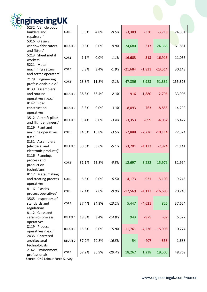

| neeringuk             |             |       |       |          |           |          |           |         |
|-----------------------|-------------|-------|-------|----------|-----------|----------|-----------|---------|
| 5232 'Vehicle body    |             |       |       |          |           |          |           |         |
| builders and          | CORE        | 5.3%  | 4.8%  | $-0.5%$  | $-3,389$  | $-330$   | $-3,719$  | 24,334  |
| repairers '           |             |       |       |          |           |          |           |         |
| 5316 'Glaziers,       |             |       |       |          |           |          |           |         |
| window fabricators    | RELATED     | 0.8%  | 0.0%  | $-0.8%$  | 24,680    | $-313$   | 24,368    | 61,881  |
| and fitters'          |             |       |       |          |           |          |           |         |
| 5213 'Sheet metal     | <b>CORE</b> | 1.1%  | 0.0%  | $-1.1%$  | $-16,603$ |          | $-16,916$ |         |
| workers'              |             |       |       |          |           | $-313$   |           | 11,056  |
| 5221 'Metal           |             |       |       |          |           |          |           |         |
| machining setters     | CORE        | 5.3%  | 3.4%  | $-1.9%$  | $-21,684$ | $-1,831$ | $-23,514$ | 30,148  |
| and setter-operators' |             |       |       |          |           |          |           |         |
| 2129 'Engineering     | CORE        | 13.8% | 11.8% | $-2.1%$  | 47,856    | 3,983    | 51,839    |         |
| professionals n.e.c.' |             |       |       |          |           |          |           | 155,373 |
| 8139 'Assemblers      |             |       |       |          |           |          |           |         |
| and routine           | RELATED     | 38.8% | 36.4% | $-2.3%$  | $-916$    | $-1,880$ | $-2,796$  | 33,905  |
| operatives n.e.c.'    |             |       |       |          |           |          |           |         |
| 8142 'Road            |             |       |       |          |           |          |           |         |
| construction          | RELATED     | 3.3%  | 0.0%  | $-3.3%$  | $-8,093$  | $-763$   | $-8,855$  | 14,299  |
| operatives'           |             |       |       |          |           |          |           |         |
| 3512 'Aircraft pilots |             |       |       |          |           |          |           |         |
| and flight engineers' | RELATED     | 3.4%  | 0.0%  | $-3.4%$  | $-3,353$  | $-699$   | $-4,052$  | 16,472  |
| 8129 'Plant and       |             |       |       |          |           |          |           |         |
| machine operatives    | CORE        | 14.3% | 10.8% | $-3.5%$  | $-7,888$  | $-2,226$ | $-10,114$ | 22,324  |
| n.e.c.'               |             |       |       |          |           |          |           |         |
| 8131 'Assemblers      |             |       |       |          |           |          |           |         |
| (electrical and       | RELATED     | 38.8% | 33.6% | $-5.1%$  | $-3,701$  | $-4,123$ | $-7,824$  | 21,141  |
| electronic products)' |             |       |       |          |           |          |           |         |
| 3116 'Planning,       |             |       |       |          |           |          |           |         |
| process and           | CORE        | 31.1% | 25.8% | $-5.3%$  | 12,697    | 3,282    | 15,979    | 31,994  |
| production            |             |       |       |          |           |          |           |         |
| technicians'          |             |       |       |          |           |          |           |         |
| 8117 'Metal making    |             |       |       |          |           |          |           |         |
| and treating process  | CORE        | 6.5%  | 0.0%  | $-6.5%$  | $-4,173$  | $-931$   | $-5,103$  | 9,246   |
| operatives'           |             |       |       |          |           |          |           |         |
| 8116 'Plastics        | CORE        | 12.4% | 2.6%  | $-9.9%$  | $-12,569$ | $-4,117$ | $-16,686$ | 20,748  |
| process operatives'   |             |       |       |          |           |          |           |         |
| 3565 'Inspectors of   |             |       |       |          |           |          |           |         |
| standards and         | CORE        | 37.4% | 24.3% | $-13.1%$ | 5,447     | $-4,621$ | 826       | 37,624  |
| regulations'          |             |       |       |          |           |          |           |         |
| 8112 'Glass and       |             |       |       |          |           |          |           |         |
| ceramics process      | RELATED     | 18.3% | 3.4%  | $-14.8%$ | 943       | $-975$   | $-32$     | 6,527   |
| operatives'           |             |       |       |          |           |          |           |         |
| 8119 'Process         | RELATED     | 15.8% | 0.0%  | $-15.8%$ | $-11,761$ | $-4,236$ | $-15,998$ | 10,774  |
| operatives n.e.c.'    |             |       |       |          |           |          |           |         |
| 2435 'Chartered       |             |       |       |          |           |          |           |         |
| architectural         | RELATED     | 37.2% | 20.8% | $-16.3%$ | 54        | $-407$   | $-353$    | 1,688   |
| technologists'        |             |       |       |          |           |          |           |         |
| 2142 'Environment     | CORE        | 57.2% | 36.9% | $-20.4%$ | 18,267    | 1,238    | 19,505    | 48,769  |
| professionals'        |             |       |       |          |           |          |           |         |

Source: ONS Labour Force Survey.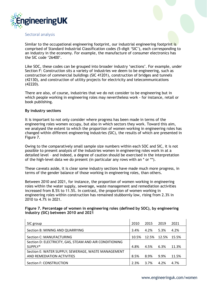

#### Sectoral analysis

Similar to the occupational engineering footprint, our industrial engineering footprint is comprised of Standard Industrial Classification codes (5-digit 'SIC'), each corresponding to an industry in the economy. For example, the manufacture of consumer electronics has the SIC code '26400'.

Like SOC, these codes can be grouped into broader industry 'sections'. For example, under Section F: Construction sits a variety of industries we deem to be engineering, such as construction of commercial buildings (SIC 41201), construction of bridges and tunnels (42130), and construction of utility projects for electricity and telecommunications (42220).

There are also, of course, industries that we do not consider to be engineering but in which people working in engineering roles may nevertheless work - for instance, retail or book publishing.

#### **By industry sections**

It is important to not only consider where progress has been made in terms of the engineering roles women occupy, but also in which sectors they work. Toward this aim, we analysed the extent to which the proportion of women working in engineering roles has changed within different engineering industries (SIC), the results of which are presented in Figure 7.

Owing to the comparatively small sample size numbers within each SOC and SIC, it is not possible to present analysis of the industries women in engineering roles work in at a detailed level – and indeed, a degree of caution should be exercised in the interpretation of the high-level data we do present (in particular any rows with an \* or \*\*).

These caveats aside, it is clear some industry sections have made much more progress, in terms of the gender balance of those working in engineering roles, than others.

Between 2010 and 2021, for instance, the proportion of women working in engineering roles within the water supply, sewerage, waste management and remediation activities increased from 8.5% to 11.5%. In contrast, the proportion of women working in engineering roles within construction has remained stubbornly low, rising from 2.3% in 2010 to 4.7% in 2021.

#### **Figure 7. Percentage of women in engineering roles (defined by SOC), by engineering industry (SIC) between 2010 and 2021**

| SIC group                                               | 2010  | 2015 | 2019        | 2021  |
|---------------------------------------------------------|-------|------|-------------|-------|
| Section B: MINING AND QUARRYING                         | 3.4%  | 4.2% | 5.3%        | 4.2%  |
| Section C: MANUFACTURING                                | 10.5% |      | 12.5% 12.5% | 15.5% |
| Section D: ELECTRICITY, GAS, STEAM AND AIR CONDITIONING |       |      |             |       |
| SUPPLY*                                                 | 4.8%  | 4.5% | 6.3%        | 11.3% |
| Section E: WATER SUPPLY; SEWERAGE, WASTE MANAGEMENT     |       |      |             |       |
| AND REMEDIATION ACTIVITIES                              | 8.5%  | 8.9% | 9.9%        | 11.5% |
| Section F: CONSTRUCTION                                 | 2.3%  | 3.7% | 4.2%        | 4.7%  |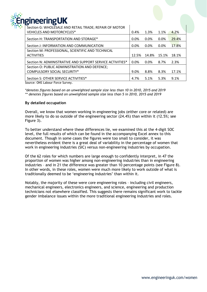## gineeringUK

Section G: WHOLESALE AND RETAIL TRADE; REPAIR OF MOTOR VEHICLES AND MOTORCYCLES\*  $\vert$  0.4% 1.3% 1.1% 4.2% Section H: TRANSPORTATION AND STORAGE\*  $\vert$  0.0% 0.0% 0.0% 29.4% Section J: INFORMATION AND COMMUNICATION  $\vert$  0.0% 0.0% 0.0% 17.8% Section M: PROFESSIONAL, SCIENTIFIC AND TECHNICAL ACTIVITIES 12.5% 14.8% 15.1% 18.1% Section N: ADMINISTRATIVE AND SUPPORT SERVICE ACTIVITIES\* | 0.0% 0.0% 8.7% 2.3% Section O: PUBLIC ADMINISTRATION AND DEFENCE; COMPULSORY SOCIAL SECURITY\* **12.4 COMPULSORY SOCIAL SECURITY\*** 17.1% Section S: OTHER SERVICE ACTIVITIES\*  $4.7\%$  5.1% 5.3% 9.1%

Source: ONS Labour Force Survey.

*\*denotes figures based on an unweighted sample size less than 10 in 2010, 2015 and 2019 \*\* denotes figures based on unweighted sample size less than 5 in 2010, 2015 and 2019*

#### **By detailed occupation**

Overall, we know that women working in engineering jobs (either core or related) are more likely to do so outside of the engineering sector (24.4%) than within it (12.5%; see Figure 3).

To better understand where these differences lie, we examined this at the 4-digit SOC level, the full results of which can be found in the accompanying Excel annex to this document. Though in some cases the figures were too small to consider, it was nevertheless evident there is a great deal of variability in the percentage of women that work in engineering industries (SIC) versus non-engineering industries by occupation.

Of the 62 roles for which numbers are large enough to confidently interpret, in 47 the proportion of women was higher among non-engineering industries than in engineering industries – and in 21 the difference was greater than 10 percentage points (see Figure 8). In other words, in these roles, women were much more likely to work outside of what is traditionally deemed to be 'engineering industries' than within it.

Notably, the majority of these were core engineering roles – including civil engineers, mechanical engineers, electronics engineers, and science, engineering and production technicians not elsewhere classified. This suggests there remains significant work to tackle gender imbalance issues within the more traditional engineering industries and roles.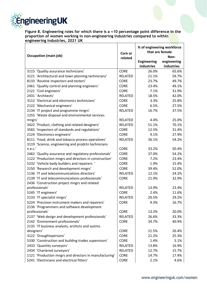

**Figure 8. Engineering roles for which there is a <10 percentage point difference in the proportion of women working in non-engineering industries compared to within engineering industries, 2021 UK** 

|                                                                                          |                | % of engineering workforce<br>that are female |             |  |
|------------------------------------------------------------------------------------------|----------------|-----------------------------------------------|-------------|--|
| <b>Occupation (main job)</b>                                                             | Core or        |                                               | Non-        |  |
|                                                                                          | related        | <b>Engineering</b>                            | engineering |  |
|                                                                                          |                | industries                                    | industries  |  |
| 3115 'Quality assurance technicians'                                                     | <b>CORE</b>    | 26.0%                                         | 65.6%       |  |
| 3121 'Architectural and town planning technicians'                                       | <b>RELATED</b> | 21.1%                                         | 59.7%       |  |
| 8133 'Routine inspectors and testers'                                                    | <b>CORE</b>    | 23.7%                                         | 49.7%       |  |
| 2461 'Quality control and planning engineers'                                            | <b>CORE</b>    | 23.4%                                         | 49.1%       |  |
| 2121 'Civil engineers'                                                                   | <b>CORE</b>    | 7.1%                                          | 31.9%       |  |
| 2431 'Architects'                                                                        | <b>RELATED</b> | 18.5%                                         | 42.0%       |  |
| 3112 'Electrical and electronics technicians'                                            | <b>CORE</b>    | 3.3%                                          | 25.8%       |  |
|                                                                                          | <b>CORE</b>    | 6.5%                                          | 27.5%       |  |
| 2122 'Mechanical engineers'                                                              | <b>RELATED</b> | 16.7%                                         | 37.5%       |  |
| 2134 'IT project and programme mngrs'<br>1255 'Waste disposal and environmental services |                |                                               |             |  |
| mngrs'                                                                                   | <b>RELATED</b> | 4.4%                                          | 25.0%       |  |
| 3422 'Product, clothing and related designers'                                           | <b>RELATED</b> | 51.1%                                         | 70.1%       |  |
| 3565 'Inspectors of standards and regulations'                                           | <b>CORE</b>    | 12.5%                                         | 31.4%       |  |
| 2124 'Electronics engineers'                                                             | <b>CORE</b>    | 9.1%                                          | 27.9%       |  |
| 8111 'Food, drink and tobacco process operatives'                                        | <b>RELATED</b> | 36.1%                                         | 54.2%       |  |
| 3119 'Science, engineering and prodctn technicians                                       |                |                                               |             |  |
| n.e.c.'                                                                                  | <b>CORE</b>    | 33.2%                                         | 50.4%       |  |
| 2462 'Quality assurance and regulatory professionals'                                    | <b>CORE</b>    | 37.0%                                         | 54.2%       |  |
| 1122 'Production mngrs and directors in construction'                                    | <b>CORE</b>    | 7.2%                                          | 23.4%       |  |
| 5232 'Vehicle body builders and repairers '                                              | <b>CORE</b>    | 1.9%                                          | 15.4%       |  |
| 2150 'Research and development mngrs'                                                    | <b>CORE</b>    | 39.4%                                         | 52.0%       |  |
| 1136 'IT and telecommunications directors'                                               | <b>RELATED</b> | 12.1%                                         | 24.2%       |  |
| 2139 'IT and telecommunications professionals'                                           | <b>CORE</b>    | 21.9%                                         | 32.9%       |  |
| 2436 'Construction project mngrs and related                                             |                |                                               |             |  |
| professionals'                                                                           | <b>RELATED</b> | 13.9%                                         | 23.4%       |  |
| 5245 'IT engineers'                                                                      | <b>CORE</b>    | 2.4%                                          | 11.6%       |  |
| 2133 'IT specialist mngrs'                                                               | <b>RELATED</b> | 20.5%                                         | 29.2%       |  |
| 5224 'Precision instrument makers and repairers'                                         | <b>CORE</b>    | 9.3%                                          | 16.7%       |  |
| 2136 'Programmers and software development                                               |                |                                               |             |  |
| professionals'                                                                           | <b>CORE</b>    | 13.2%                                         | 20.0%       |  |
| 2137 'Web design and development professionals'                                          | RELATED        | 26.6%                                         | 33.3%       |  |
| 2142 'Environment professionals'                                                         | <b>CORE</b>    | 34.7%                                         | 40.9%       |  |
| 2135 'IT business analysts, archtcts and systms                                          |                |                                               |             |  |
| designers'                                                                               | <b>CORE</b>    | 21.5%                                         | 26.4%       |  |
| 3122 'Draughtspersons'                                                                   | <b>CORE</b>    | 21.2%                                         | 25.3%       |  |
| 5330 'Construction and building trades supervisors'                                      | <b>CORE</b>    | 1.4%                                          | 5.1%        |  |
| 2433 'Quantity surveyors'                                                                | RELATED        | 13.8%                                         | 16.9%       |  |
| 2434 'Chartered surveyors'                                                               | RELATED        | 12.7%                                         | 15.7%       |  |
| 1121 'Production mngrs and directors in manufacturing'                                   | <b>CORE</b>    | 14.7%                                         | 17.4%       |  |
| 5241 'Electricians and electrical fitters'                                               | CORE           | 2.1%                                          | 4.6%        |  |